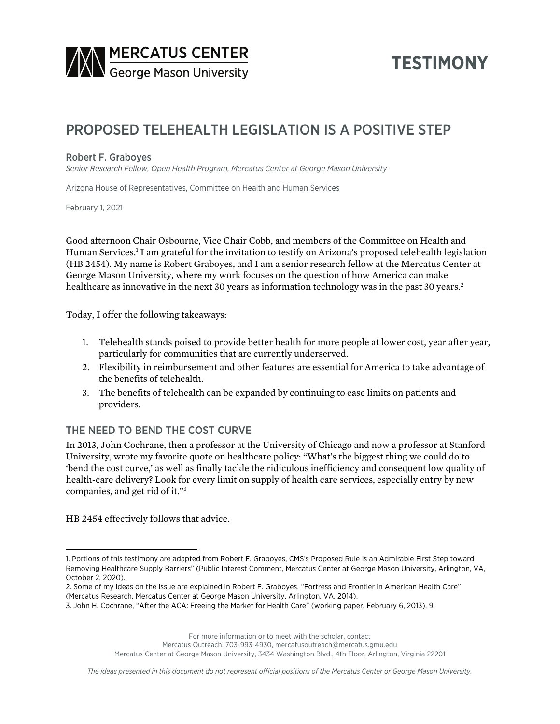

# **TESTIMONY**

## PROPOSED TELEHEALTH LEGISLATION IS A POSITIVE STEP

#### Robert F. Graboyes

*Senior Research Fellow, Open Health Program, Mercatus Center at George Mason University*

Arizona House of Representatives, Committee on Health and Human Services

February 1, 2021

Good afternoon Chair Osbourne, Vice Chair Cobb, and members of the Committee on Health and Human Services.1 I am grateful for the invitation to testify on Arizona's proposed telehealth legislation (HB 2454). My name is Robert Graboyes, and I am a senior research fellow at the Mercatus Center at George Mason University, where my work focuses on the question of how America can make healthcare as innovative in the next 30 years as information technology was in the past 30 years.<sup>2</sup>

Today, I offer the following takeaways:

- 1. Telehealth stands poised to provide better health for more people at lower cost, year after year, particularly for communities that are currently underserved.
- 2. Flexibility in reimbursement and other features are essential for America to take advantage of the benefits of telehealth.
- 3. The benefits of telehealth can be expanded by continuing to ease limits on patients and providers.

#### THE NEED TO BEND THE COST CURVE

In 2013, John Cochrane, then a professor at the University of Chicago and now a professor at Stanford University, wrote my favorite quote on healthcare policy: "What's the biggest thing we could do to 'bend the cost curve,' as well as finally tackle the ridiculous inefficiency and consequent low quality of health-care delivery? Look for every limit on supply of health care services, especially entry by new companies, and get rid of it."3

HB 2454 effectively follows that advice.

For more information or to meet with the scholar, contact

Mercatus Outreach, 703-993-4930, mercatusoutreach@mercatus.gmu.edu

Mercatus Center at George Mason University, 3434 Washington Blvd., 4th Floor, Arlington, Virginia 22201

<sup>1.</sup> Portions of this testimony are adapted from Robert F. Graboyes, CMS's Proposed Rule Is an Admirable First Step toward Removing Healthcare Supply Barriers" (Public Interest Comment, Mercatus Center at George Mason University, Arlington, VA, October 2, 2020).

<sup>2.</sup> Some of my ideas on the issue are explained in Robert F. Graboyes, "Fortress and Frontier in American Health Care" (Mercatus Research, Mercatus Center at George Mason University, Arlington, VA, 2014).

<sup>3.</sup> John H. Cochrane, "After the ACA: Freeing the Market for Health Care" (working paper, February 6, 2013), 9.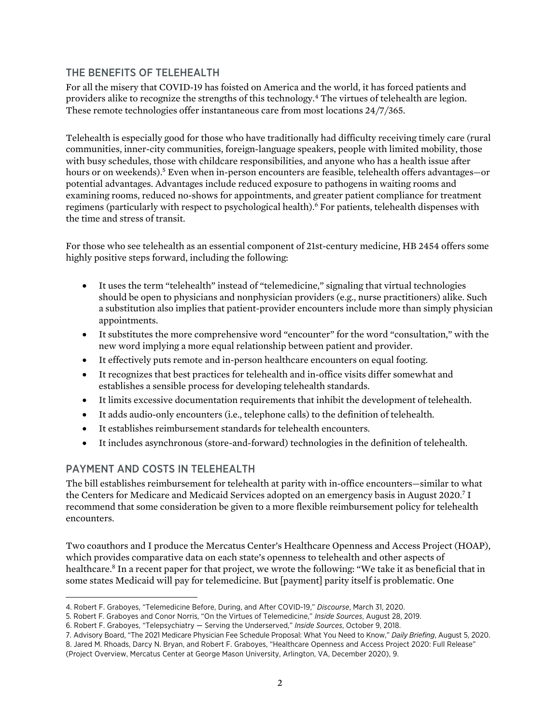### THE BENEFITS OF TELEHEALTH

For all the misery that COVID-19 has foisted on America and the world, it has forced patients and providers alike to recognize the strengths of this technology.4 The virtues of telehealth are legion. These remote technologies offer instantaneous care from most locations 24/7/365.

Telehealth is especially good for those who have traditionally had difficulty receiving timely care (rural communities, inner-city communities, foreign-language speakers, people with limited mobility, those with busy schedules, those with childcare responsibilities, and anyone who has a health issue after hours or on weekends).<sup>5</sup> Even when in-person encounters are feasible, telehealth offers advantages—or potential advantages. Advantages include reduced exposure to pathogens in waiting rooms and examining rooms, reduced no-shows for appointments, and greater patient compliance for treatment regimens (particularly with respect to psychological health).6 For patients, telehealth dispenses with the time and stress of transit.

For those who see telehealth as an essential component of 21st-century medicine, HB 2454 offers some highly positive steps forward, including the following:

- It uses the term "telehealth" instead of "telemedicine," signaling that virtual technologies should be open to physicians and nonphysician providers (e.g., nurse practitioners) alike. Such a substitution also implies that patient-provider encounters include more than simply physician appointments.
- It substitutes the more comprehensive word "encounter" for the word "consultation," with the new word implying a more equal relationship between patient and provider.
- It effectively puts remote and in-person healthcare encounters on equal footing.
- It recognizes that best practices for telehealth and in-office visits differ somewhat and establishes a sensible process for developing telehealth standards.
- It limits excessive documentation requirements that inhibit the development of telehealth.
- It adds audio-only encounters (i.e., telephone calls) to the definition of telehealth.
- It establishes reimbursement standards for telehealth encounters.
- It includes asynchronous (store-and-forward) technologies in the definition of telehealth.

#### PAYMENT AND COSTS IN TELEHEALTH

The bill establishes reimbursement for telehealth at parity with in-office encounters—similar to what the Centers for Medicare and Medicaid Services adopted on an emergency basis in August 2020.7 I recommend that some consideration be given to a more flexible reimbursement policy for telehealth encounters.

Two coauthors and I produce the Mercatus Center's Healthcare Openness and Access Project (HOAP), which provides comparative data on each state's openness to telehealth and other aspects of healthcare.<sup>8</sup> In a recent paper for that project, we wrote the following: "We take it as beneficial that in some states Medicaid will pay for telemedicine. But [payment] parity itself is problematic. One

7. Advisory Board, "The 2021 Medicare Physician Fee Schedule Proposal: What You Need to Know," *Daily Briefing*, August 5, 2020. 8. Jared M. Rhoads, Darcy N. Bryan, and Robert F. Graboyes, "Healthcare Openness and Access Project 2020: Full Release"

(Project Overview, Mercatus Center at George Mason University, Arlington, VA, December 2020), 9.

<sup>4.</sup> Robert F. Graboyes, "Telemedicine Before, During, and After COVID-19," *Discourse*, March 31, 2020.

<sup>5.</sup> Robert F. Graboyes and Conor Norris, "On the Virtues of Telemedicine," *Inside Sources*, August 28, 2019.

<sup>6.</sup> Robert F. Graboyes, "Telepsychiatry — Serving the Underserved," *Inside Sources*, October 9, 2018.